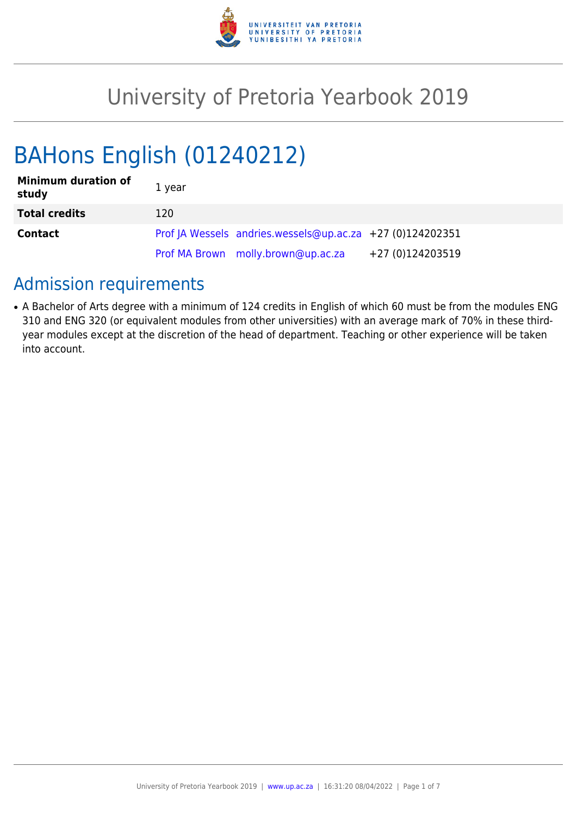

# University of Pretoria Yearbook 2019

# BAHons English (01240212)

| <b>Minimum duration of</b><br>study | 1 year |                                                           |                  |
|-------------------------------------|--------|-----------------------------------------------------------|------------------|
| <b>Total credits</b>                | 120    |                                                           |                  |
| <b>Contact</b>                      |        | Prof JA Wessels andries.wessels@up.ac.za +27 (0)124202351 |                  |
|                                     |        | Prof MA Brown molly.brown@up.ac.za                        | +27 (0)124203519 |

# Admission requirements

• A Bachelor of Arts degree with a minimum of 124 credits in English of which 60 must be from the modules ENG 310 and ENG 320 (or equivalent modules from other universities) with an average mark of 70% in these thirdyear modules except at the discretion of the head of department. Teaching or other experience will be taken into account.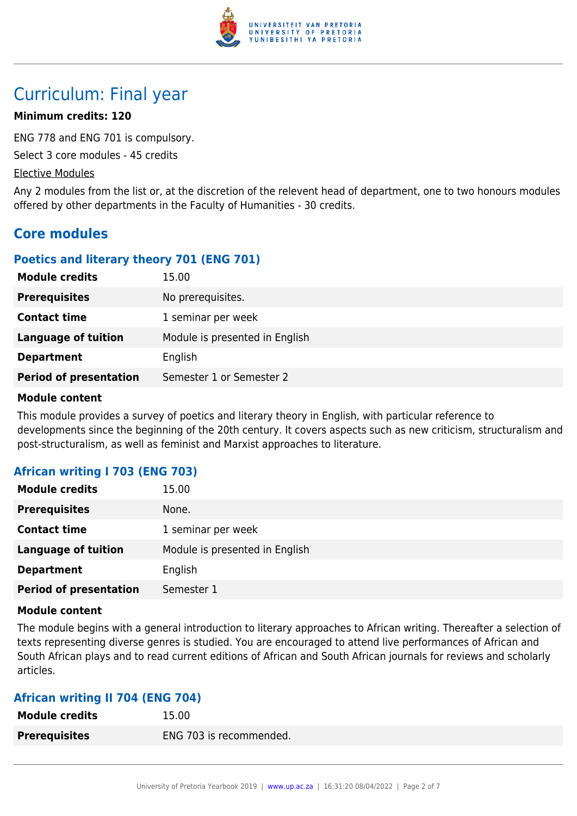

# Curriculum: Final year

# **Minimum credits: 120**

ENG 778 and ENG 701 is compulsory.

Select 3 core modules - 45 credits

# Elective Modules

Any 2 modules from the list or, at the discretion of the relevent head of department, one to two honours modules offered by other departments in the Faculty of Humanities - 30 credits.

# **Core modules**

# **Poetics and literary theory 701 (ENG 701)**

| <b>Module credits</b>         | 15.00                          |
|-------------------------------|--------------------------------|
| <b>Prerequisites</b>          | No prerequisites.              |
| <b>Contact time</b>           | 1 seminar per week             |
| <b>Language of tuition</b>    | Module is presented in English |
| <b>Department</b>             | English                        |
| <b>Period of presentation</b> | Semester 1 or Semester 2       |

#### **Module content**

This module provides a survey of poetics and literary theory in English, with particular reference to developments since the beginning of the 20th century. It covers aspects such as new criticism, structuralism and post-structuralism, as well as feminist and Marxist approaches to literature.

# **African writing I 703 (ENG 703)**

| <b>Module credits</b>         | 15.00                          |
|-------------------------------|--------------------------------|
| <b>Prerequisites</b>          | None.                          |
| <b>Contact time</b>           | 1 seminar per week             |
| <b>Language of tuition</b>    | Module is presented in English |
| <b>Department</b>             | English                        |
| <b>Period of presentation</b> | Semester 1                     |

# **Module content**

The module begins with a general introduction to literary approaches to African writing. Thereafter a selection of texts representing diverse genres is studied. You are encouraged to attend live performances of African and South African plays and to read current editions of African and South African journals for reviews and scholarly articles.

# **African writing II 704 (ENG 704)**

| <b>Module credits</b> | 15.00                   |
|-----------------------|-------------------------|
| <b>Prerequisites</b>  | ENG 703 is recommended. |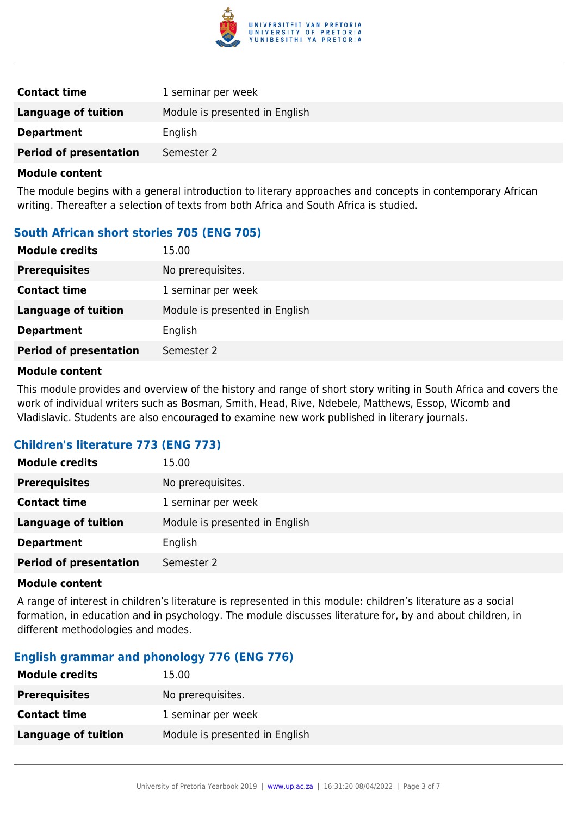

| <b>Contact time</b>           | 1 seminar per week             |
|-------------------------------|--------------------------------|
| Language of tuition           | Module is presented in English |
| <b>Department</b>             | English                        |
| <b>Period of presentation</b> | Semester 2                     |

### **Module content**

The module begins with a general introduction to literary approaches and concepts in contemporary African writing. Thereafter a selection of texts from both Africa and South Africa is studied.

# **South African short stories 705 (ENG 705)**

| <b>Module credits</b>         | 15.00                          |
|-------------------------------|--------------------------------|
| <b>Prerequisites</b>          | No prerequisites.              |
| <b>Contact time</b>           | 1 seminar per week             |
| <b>Language of tuition</b>    | Module is presented in English |
| <b>Department</b>             | English                        |
| <b>Period of presentation</b> | Semester 2                     |

#### **Module content**

This module provides and overview of the history and range of short story writing in South Africa and covers the work of individual writers such as Bosman, Smith, Head, Rive, Ndebele, Matthews, Essop, Wicomb and Vladislavic. Students are also encouraged to examine new work published in literary journals.

# **Children's literature 773 (ENG 773)**

| <b>Module credits</b>         | 15.00                          |
|-------------------------------|--------------------------------|
| <b>Prerequisites</b>          | No prerequisites.              |
| <b>Contact time</b>           | 1 seminar per week             |
| <b>Language of tuition</b>    | Module is presented in English |
| <b>Department</b>             | English                        |
| <b>Period of presentation</b> | Semester 2                     |

#### **Module content**

A range of interest in children's literature is represented in this module: children's literature as a social formation, in education and in psychology. The module discusses literature for, by and about children, in different methodologies and modes.

# **English grammar and phonology 776 (ENG 776)**

| <b>Module credits</b> | 15.00                          |
|-----------------------|--------------------------------|
| <b>Prerequisites</b>  | No prerequisites.              |
| <b>Contact time</b>   | 1 seminar per week             |
| Language of tuition   | Module is presented in English |
|                       |                                |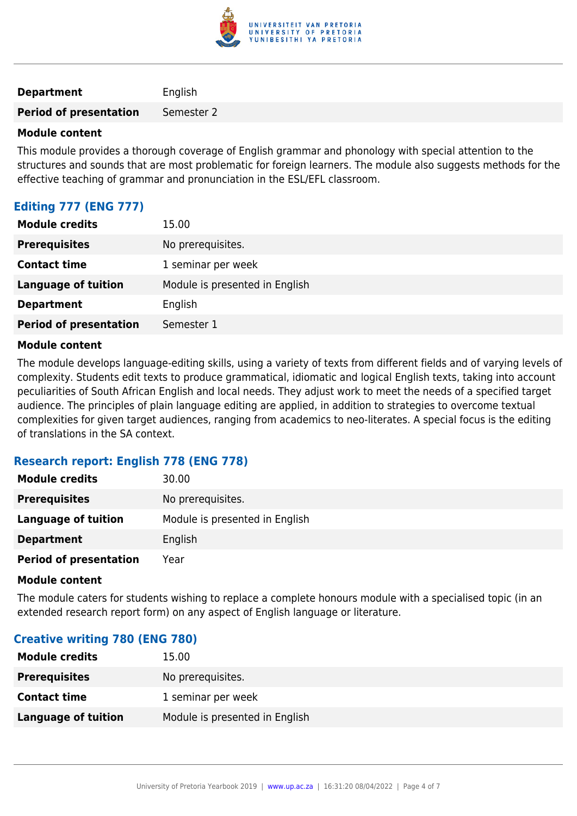

**Department** English

**Period of presentation** Semester 2

#### **Module content**

This module provides a thorough coverage of English grammar and phonology with special attention to the structures and sounds that are most problematic for foreign learners. The module also suggests methods for the effective teaching of grammar and pronunciation in the ESL/EFL classroom.

# **Editing 777 (ENG 777)**

| <b>Module credits</b>         | 15.00                          |
|-------------------------------|--------------------------------|
| <b>Prerequisites</b>          | No prerequisites.              |
| <b>Contact time</b>           | 1 seminar per week             |
| <b>Language of tuition</b>    | Module is presented in English |
| <b>Department</b>             | English                        |
| <b>Period of presentation</b> | Semester 1                     |

#### **Module content**

The module develops language-editing skills, using a variety of texts from different fields and of varying levels of complexity. Students edit texts to produce grammatical, idiomatic and logical English texts, taking into account peculiarities of South African English and local needs. They adjust work to meet the needs of a specified target audience. The principles of plain language editing are applied, in addition to strategies to overcome textual complexities for given target audiences, ranging from academics to neo-literates. A special focus is the editing of translations in the SA context.

# **Research report: English 778 (ENG 778)**

| <b>Module credits</b>         | 30.00                          |
|-------------------------------|--------------------------------|
| <b>Prerequisites</b>          | No prerequisites.              |
| Language of tuition           | Module is presented in English |
| <b>Department</b>             | English                        |
| <b>Period of presentation</b> | Year                           |

#### **Module content**

The module caters for students wishing to replace a complete honours module with a specialised topic (in an extended research report form) on any aspect of English language or literature.

# **Creative writing 780 (ENG 780)**

| <b>Module credits</b> | 15.00                          |
|-----------------------|--------------------------------|
| <b>Prerequisites</b>  | No prerequisites.              |
| <b>Contact time</b>   | 1 seminar per week             |
| Language of tuition   | Module is presented in English |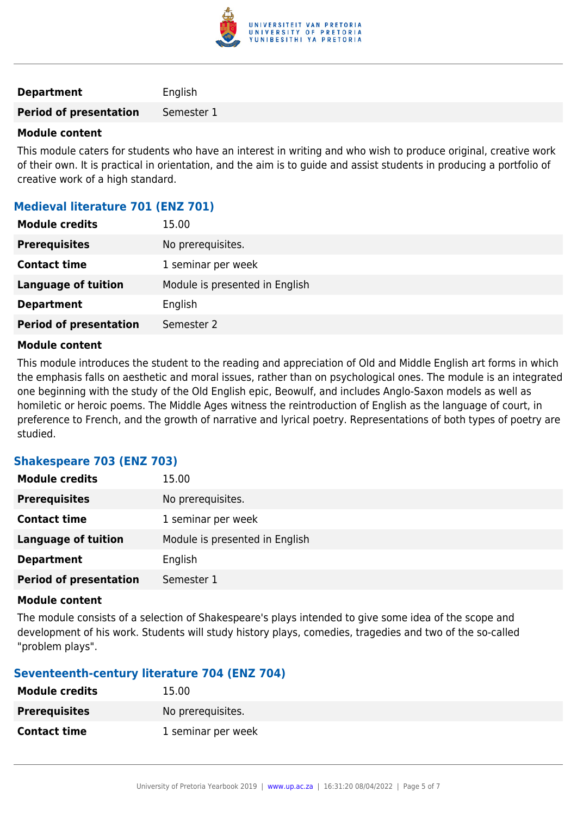

| <b>Department</b> | English |
|-------------------|---------|
|-------------------|---------|

**Period of presentation** Semester 1

### **Module content**

This module caters for students who have an interest in writing and who wish to produce original, creative work of their own. It is practical in orientation, and the aim is to guide and assist students in producing a portfolio of creative work of a high standard.

# **Medieval literature 701 (ENZ 701)**

| <b>Module credits</b>         | 15.00                          |
|-------------------------------|--------------------------------|
| <b>Prerequisites</b>          | No prerequisites.              |
| <b>Contact time</b>           | 1 seminar per week             |
| <b>Language of tuition</b>    | Module is presented in English |
| <b>Department</b>             | English                        |
| <b>Period of presentation</b> | Semester 2                     |

#### **Module content**

This module introduces the student to the reading and appreciation of Old and Middle English art forms in which the emphasis falls on aesthetic and moral issues, rather than on psychological ones. The module is an integrated one beginning with the study of the Old English epic, Beowulf, and includes Anglo-Saxon models as well as homiletic or heroic poems. The Middle Ages witness the reintroduction of English as the language of court, in preference to French, and the growth of narrative and lyrical poetry. Representations of both types of poetry are studied.

# **Shakespeare 703 (ENZ 703)**

| <b>Module credits</b>         | 15.00                          |
|-------------------------------|--------------------------------|
| <b>Prerequisites</b>          | No prerequisites.              |
| <b>Contact time</b>           | 1 seminar per week             |
| <b>Language of tuition</b>    | Module is presented in English |
| <b>Department</b>             | English                        |
| <b>Period of presentation</b> | Semester 1                     |

#### **Module content**

The module consists of a selection of Shakespeare's plays intended to give some idea of the scope and development of his work. Students will study history plays, comedies, tragedies and two of the so-called "problem plays".

# **Seventeenth-century literature 704 (ENZ 704)**

| <b>Module credits</b> | 15.00              |
|-----------------------|--------------------|
| <b>Prerequisites</b>  | No prerequisites.  |
| <b>Contact time</b>   | 1 seminar per week |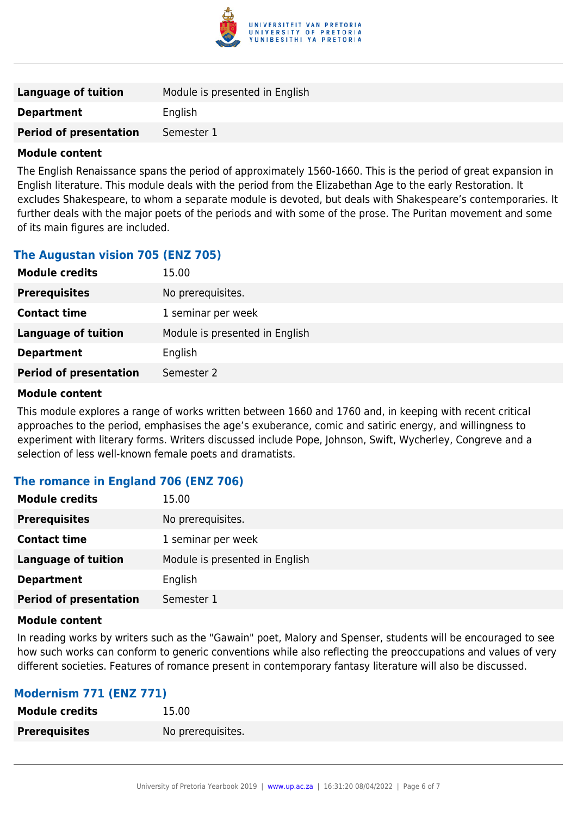

| Language of tuition           | Module is presented in English |
|-------------------------------|--------------------------------|
| <b>Department</b>             | English                        |
| <b>Period of presentation</b> | Semester 1                     |

#### **Module content**

The English Renaissance spans the period of approximately 1560-1660. This is the period of great expansion in English literature. This module deals with the period from the Elizabethan Age to the early Restoration. It excludes Shakespeare, to whom a separate module is devoted, but deals with Shakespeare's contemporaries. It further deals with the major poets of the periods and with some of the prose. The Puritan movement and some of its main figures are included.

# **The Augustan vision 705 (ENZ 705)**

| <b>Module credits</b>         | 15.00                          |
|-------------------------------|--------------------------------|
| <b>Prerequisites</b>          | No prerequisites.              |
| <b>Contact time</b>           | 1 seminar per week             |
| <b>Language of tuition</b>    | Module is presented in English |
| <b>Department</b>             | English                        |
| <b>Period of presentation</b> | Semester 2                     |
|                               |                                |

#### **Module content**

This module explores a range of works written between 1660 and 1760 and, in keeping with recent critical approaches to the period, emphasises the age's exuberance, comic and satiric energy, and willingness to experiment with literary forms. Writers discussed include Pope, Johnson, Swift, Wycherley, Congreve and a selection of less well-known female poets and dramatists.

# **The romance in England 706 (ENZ 706)**

| <b>Module credits</b>         | 15.00                          |
|-------------------------------|--------------------------------|
| <b>Prerequisites</b>          | No prerequisites.              |
| <b>Contact time</b>           | 1 seminar per week             |
| <b>Language of tuition</b>    | Module is presented in English |
| <b>Department</b>             | English                        |
| <b>Period of presentation</b> | Semester 1                     |

#### **Module content**

In reading works by writers such as the "Gawain" poet, Malory and Spenser, students will be encouraged to see how such works can conform to generic conventions while also reflecting the preoccupations and values of very different societies. Features of romance present in contemporary fantasy literature will also be discussed.

# **Modernism 771 (ENZ 771)**

| <b>Module credits</b> | 15.00             |
|-----------------------|-------------------|
| <b>Prerequisites</b>  | No prerequisites. |